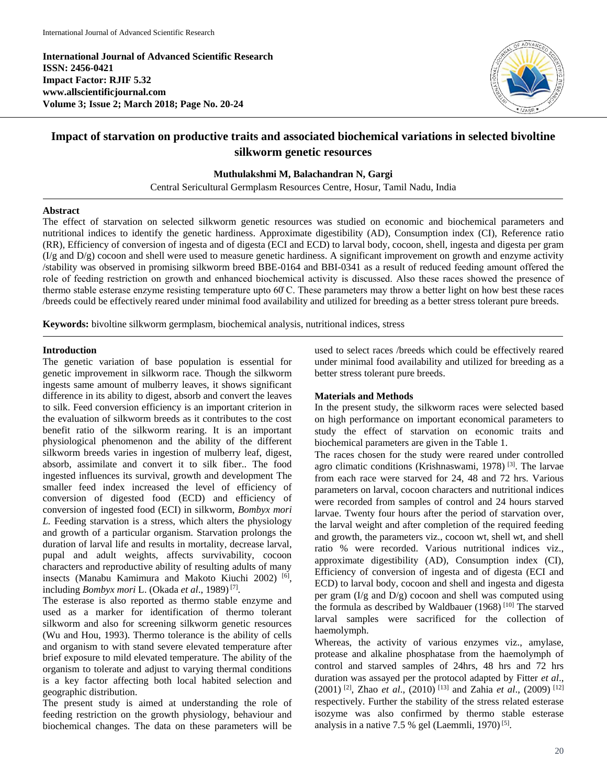**International Journal of Advanced Scientific Research ISSN: 2456-0421 Impact Factor: RJIF 5.32 www.allscientificjournal.com Volume 3; Issue 2; March 2018; Page No. 20-24**



# **Impact of starvation on productive traits and associated biochemical variations in selected bivoltine silkworm genetic resources**

## **Muthulakshmi M, Balachandran N, Gargi**

Central Sericultural Germplasm Resources Centre, Hosur, Tamil Nadu, India

#### **Abstract**

The effect of starvation on selected silkworm genetic resources was studied on economic and biochemical parameters and nutritional indices to identify the genetic hardiness. Approximate digestibility (AD), Consumption index (CI), Reference ratio (RR), Efficiency of conversion of ingesta and of digesta (ECI and ECD) to larval body, cocoon, shell, ingesta and digesta per gram  $(I/g$  and  $D/g$ ) cocoon and shell were used to measure genetic hardiness. A significant improvement on growth and enzyme activity /stability was observed in promising silkworm breed BBE-0164 and BBI-0341 as a result of reduced feeding amount offered the role of feeding restriction on growth and enhanced biochemical activity is discussed. Also these races showed the presence of thermo stable esterase enzyme resisting temperature upto 60̊ C. These parameters may throw a better light on how best these races /breeds could be effectively reared under minimal food availability and utilized for breeding as a better stress tolerant pure breeds.

**Keywords:** bivoltine silkworm germplasm, biochemical analysis, nutritional indices, stress

# **Introduction**

The genetic variation of base population is essential for genetic improvement in silkworm race. Though the silkworm ingests same amount of mulberry leaves, it shows significant difference in its ability to digest, absorb and convert the leaves to silk. Feed conversion efficiency is an important criterion in the evaluation of silkworm breeds as it contributes to the cost benefit ratio of the silkworm rearing. It is an important physiological phenomenon and the ability of the different silkworm breeds varies in ingestion of mulberry leaf, digest, absorb, assimilate and convert it to silk fiber.. The food ingested influences its survival, growth and development The smaller feed index increased the level of efficiency of conversion of digested food (ECD) and efficiency of conversion of ingested food (ECI) in silkworm, *Bombyx mori L.* Feeding starvation is a stress, which alters the physiology and growth of a particular organism. Starvation prolongs the duration of larval life and results in mortality, decrease larval, pupal and adult weights, affects survivability, cocoon characters and reproductive ability of resulting adults of many insects (Manabu Kamimura and Makoto Kiuchi 2002) [6] , including *Bombyx mori* L. (Okada et al., 1989)<sup>[7]</sup>.

The esterase is also reported as thermo stable enzyme and used as a marker for identification of thermo tolerant silkworm and also for screening silkworm genetic resources (Wu and Hou, 1993). Thermo tolerance is the ability of cells and organism to with stand severe elevated temperature after brief exposure to mild elevated temperature. The ability of the organism to tolerate and adjust to varying thermal conditions is a key factor affecting both local habited selection and geographic distribution.

The present study is aimed at understanding the role of feeding restriction on the growth physiology, behaviour and biochemical changes. The data on these parameters will be

used to select races /breeds which could be effectively reared under minimal food availability and utilized for breeding as a better stress tolerant pure breeds.

# **Materials and Methods**

In the present study, the silkworm races were selected based on high performance on important economical parameters to study the effect of starvation on economic traits and biochemical parameters are given in the Table 1.

The races chosen for the study were reared under controlled agro climatic conditions (Krishnaswami, 1978)<sup>[3]</sup>. The larvae from each race were starved for 24, 48 and 72 hrs. Various parameters on larval, cocoon characters and nutritional indices were recorded from samples of control and 24 hours starved larvae. Twenty four hours after the period of starvation over, the larval weight and after completion of the required feeding and growth, the parameters viz., cocoon wt, shell wt, and shell ratio % were recorded. Various nutritional indices viz., approximate digestibility (AD), Consumption index (CI), Efficiency of conversion of ingesta and of digesta (ECI and ECD) to larval body, cocoon and shell and ingesta and digesta per gram  $(I/g$  and  $D/g$ ) cocoon and shell was computed using the formula as described by Waldbauer (1968) [10] The starved larval samples were sacrificed for the collection of haemolymph.

Whereas, the activity of various enzymes viz., amylase, protease and alkaline phosphatase from the haemolymph of control and starved samples of 24hrs, 48 hrs and 72 hrs duration was assayed per the protocol adapted by Fitter *et al*., (2001) [2] , Zhao *et al*., (2010) [13] and Zahia *et al*., (2009) [12] respectively. Further the stability of the stress related esterase isozyme was also confirmed by thermo stable esterase analysis in a native 7.5 % gel (Laemmli, 1970)<sup>[5]</sup>.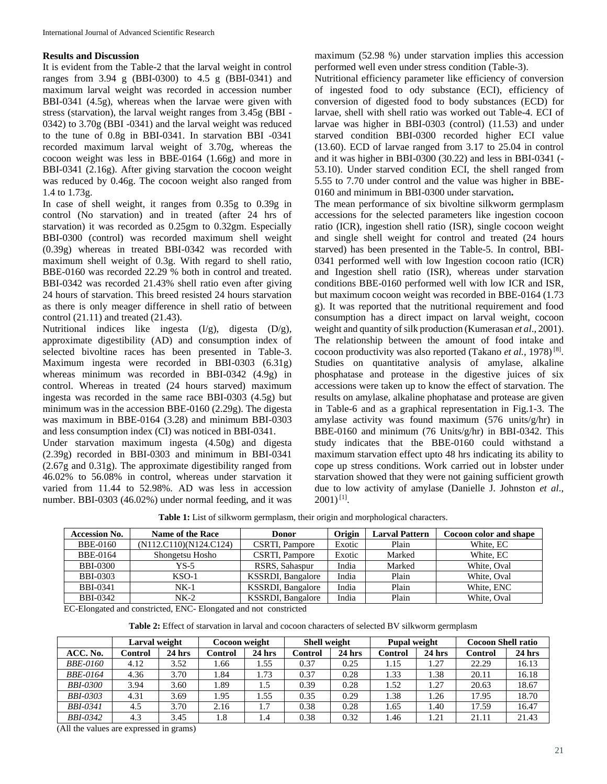# **Results and Discussion**

It is evident from the Table-2 that the larval weight in control ranges from 3.94 g (BBI-0300) to 4.5 g (BBI-0341) and maximum larval weight was recorded in accession number BBI-0341 (4.5g), whereas when the larvae were given with stress (starvation), the larval weight ranges from 3.45g (BBI - 0342) to 3.70g (BBI -0341) and the larval weight was reduced to the tune of 0.8g in BBI-0341. In starvation BBI -0341 recorded maximum larval weight of 3.70g, whereas the cocoon weight was less in BBE-0164 (1.66g) and more in BBI-0341 (2.16g). After giving starvation the cocoon weight was reduced by 0.46g. The cocoon weight also ranged from 1.4 to 1.73g.

In case of shell weight, it ranges from 0.35g to 0.39g in control (No starvation) and in treated (after 24 hrs of starvation) it was recorded as 0.25gm to 0.32gm. Especially BBI-0300 (control) was recorded maximum shell weight (0.39g) whereas in treated BBI-0342 was recorded with maximum shell weight of 0.3g. With regard to shell ratio, BBE-0160 was recorded 22.29 % both in control and treated. BBI-0342 was recorded 21.43% shell ratio even after giving 24 hours of starvation. This breed resisted 24 hours starvation as there is only meager difference in shell ratio of between control (21.11) and treated (21.43).

Nutritional indices like ingesta  $(I/g)$ , digesta  $(D/g)$ , approximate digestibility (AD) and consumption index of selected bivoltine races has been presented in Table-3. Maximum ingesta were recorded in BBI-0303 (6.31g) whereas minimum was recorded in BBI-0342 (4.9g) in control. Whereas in treated (24 hours starved) maximum ingesta was recorded in the same race BBI-0303 (4.5g) but minimum was in the accession BBE-0160 (2.29g). The digesta was maximum in BBE-0164 (3.28) and minimum BBI-0303 and less consumption index (CI) was noticed in BBI-0341.

Under starvation maximum ingesta (4.50g) and digesta (2.39g) recorded in BBI-0303 and minimum in BBI-0341 (2.67g and 0.31g). The approximate digestibility ranged from 46.02% to 56.08% in control, whereas under starvation it varied from 11.44 to 52.98%. AD was less in accession number. BBI-0303 (46.02%) under normal feeding, and it was maximum (52.98 %) under starvation implies this accession performed well even under stress condition (Table-3).

Nutritional efficiency parameter like efficiency of conversion of ingested food to ody substance (ECI), efficiency of conversion of digested food to body substances (ECD) for larvae, shell with shell ratio was worked out Table-4. ECI of larvae was higher in BBI-0303 (control) (11.53) and under starved condition BBI-0300 recorded higher ECI value (13.60). ECD of larvae ranged from 3.17 to 25.04 in control and it was higher in BBI-0300 (30.22) and less in BBI-0341 (- 53.10). Under starved condition ECI, the shell ranged from 5.55 to 7.70 under control and the value was higher in BBE-0160 and minimum in BBI-0300 under starvation**.** 

The mean performance of six bivoltine silkworm germplasm accessions for the selected parameters like ingestion cocoon ratio (ICR), ingestion shell ratio (ISR), single cocoon weight and single shell weight for control and treated (24 hours starved) has been presented in the Table-5. In control, BBI-0341 performed well with low Ingestion cocoon ratio (ICR) and Ingestion shell ratio (ISR), whereas under starvation conditions BBE-0160 performed well with low ICR and ISR, but maximum cocoon weight was recorded in BBE-0164 (1.73 g). It was reported that the nutritional requirement and food consumption has a direct impact on larval weight, cocoon weight and quantity of silk production (Kumerasan *et al.*, 2001). The relationship between the amount of food intake and cocoon productivity was also reported (Takano *et al.*, 1978)<sup>[8]</sup>. Studies on quantitative analysis of amylase, alkaline phosphatase and protease in the digestive juices of six accessions were taken up to know the effect of starvation. The results on amylase, alkaline phophatase and protease are given in Table-6 and as a graphical representation in Fig.1-3. The amylase activity was found maximum (576 units/g/hr) in BBE-0160 and minimum (76 Units/g/hr) in BBI-0342. This study indicates that the BBE-0160 could withstand a maximum starvation effect upto 48 hrs indicating its ability to cope up stress conditions. Work carried out in lobster under starvation showed that they were not gaining sufficient growth due to low activity of amylase (Danielle J. Johnston *et al*.,  $2001$ <sup>[1]</sup>.

| Table 1: List of silkworm germplasm, their origin and morphological characters. |  |  |  |
|---------------------------------------------------------------------------------|--|--|--|
|---------------------------------------------------------------------------------|--|--|--|

| <b>Accession No.</b> | Name of the Race       | Donor                     | Origin | <b>Larval Pattern</b> | Cocoon color and shape |
|----------------------|------------------------|---------------------------|--------|-----------------------|------------------------|
| BBE-0160             | (N112.C110)(N124.C124) | CSRTI, Pampore            | Exotic | Plain                 | White, EC              |
| <b>BBE-0164</b>      | Shongetsu Hosho        | CSRTI, Pampore            | Exotic | Marked                | White, EC              |
| <b>BBI-0300</b>      | YS-5                   | RSRS, Sahaspur            | India  | Marked                | White, Oval            |
| <b>BBI-0303</b>      | $KSO-1$                | KSSRDI, Bangalore         | India  | Plain                 | White, Oval            |
| <b>BBI-0341</b>      | $NK-1$                 | KSSRDI, Bangalore         | India  | Plain                 | White, ENC             |
| <b>BBI-0342</b>      | $NK-2$                 | <b>KSSRDI</b> , Bangalore | India  | Plain                 | White, Oval            |

EC-Elongated and constricted, ENC- Elongated and not constricted

**Table 2:** Effect of starvation in larval and cocoon characters of selected BV silkworm germplasm

|                 | Larval weight |          | Cocoon weight |          | <b>Shell weight</b> |          | <b>Pupal weight</b> |          | <b>Cocoon Shell ratio</b> |        |
|-----------------|---------------|----------|---------------|----------|---------------------|----------|---------------------|----------|---------------------------|--------|
| ACC. No.        | Control       | $24$ hrs | Control       | $24$ hrs | Control             | $24$ hrs | <b>Control</b>      | $24$ hrs | Control                   | 24 hrs |
| <b>BBE-0160</b> | 4.12          | 3.52     | l.66          | . . 55   | 0.37                | 0.25     | 1.15                | . 27     | 22.29                     | 16.13  |
| <b>BBE-0164</b> | 4.36          | 3.70     | 1.84          | 1.73     | 0.37                | 0.28     | 1.33                | 1.38     | 20.11                     | 16.18  |
| <b>BBI-0300</b> | 3.94          | 3.60     | 1.89          | 1.5      | 0.39                | 0.28     | 1.52                | 1.27     | 20.63                     | 18.67  |
| <b>BBI-0303</b> | 4.31          | 3.69     | 1.95          | . 55     | 0.35                | 0.29     | 1.38                | 1.26     | 17.95                     | 18.70  |
| <b>BBI-0341</b> | 4.5           | 3.70     | 2.16          | 1.7      | 0.38                | 0.28     | 1.65                | 1.40     | 17.59                     | 16.47  |
| <b>BBI-0342</b> | 4.3           | 3.45     | 1.8           | 1.4      | 0.38                | 0.32     | 1.46                | 1.21     | 21.11                     | 21.43  |

(All the values are expressed in grams)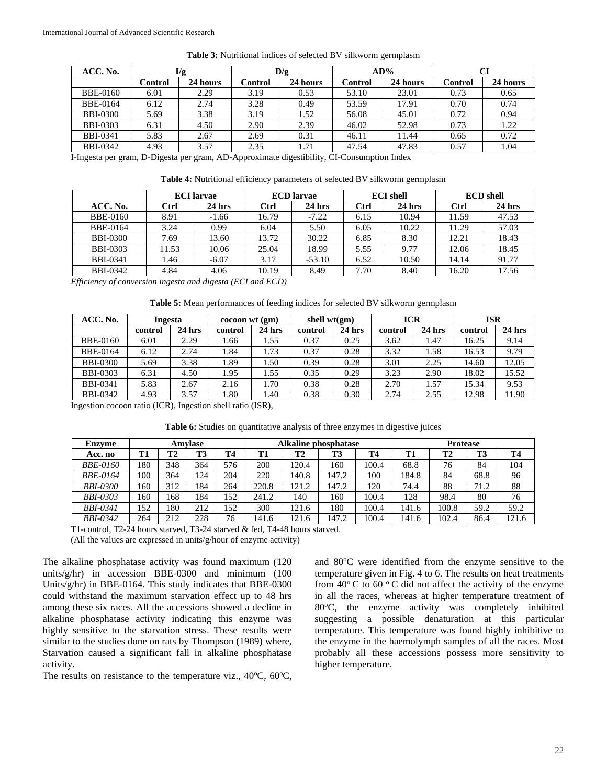| ACC. No.        | I/g     |          | D/g     |          |         | $AD\%$   |         |          |  |
|-----------------|---------|----------|---------|----------|---------|----------|---------|----------|--|
|                 | Control | 24 hours | Control | 24 hours | Control | 24 hours | Control | 24 hours |  |
| <b>BBE-0160</b> | 6.01    | 2.29     | 3.19    | 0.53     | 53.10   | 23.01    | 0.73    | 0.65     |  |
| <b>BBE-0164</b> | 6.12    | 2.74     | 3.28    | 0.49     | 53.59   | 17.91    | 0.70    | 0.74     |  |
| <b>BBI-0300</b> | 5.69    | 3.38     | 3.19    | 1.52     | 56.08   | 45.01    | 0.72    | 0.94     |  |
| <b>BBI-0303</b> | 6.31    | 4.50     | 2.90    | 2.39     | 46.02   | 52.98    | 0.73    | 1.22     |  |
| <b>BBI-0341</b> | 5.83    | 2.67     | 2.69    | 0.31     | 46.11   | 11.44    | 0.65    | 0.72     |  |
| <b>BBI-0342</b> | 4.93    | 3.57     | 2.35    | 1.71     | 47.54   | 47.83    | 0.57    | 1.04     |  |

**Table 3:** Nutritional indices of selected BV silkworm germplasm

I-Ingesta per gram, D-Digesta per gram, AD**-**Approximate digestibility, CI-Consumption Index

**Table 4:** Nutritional efficiency parameters of selected BV silkworm germplasm

|                 | <b>ECI</b> larvae |          |       | <b>ECD</b> larvae |      | <b>ECI</b> shell | <b>ECD</b> shell |          |  |
|-----------------|-------------------|----------|-------|-------------------|------|------------------|------------------|----------|--|
| ACC. No.        | Ctrl              | $24$ hrs | Ctrl  | $24$ hrs          | Ctrl | $24$ hrs         | <b>Ctrl</b>      | $24$ hrs |  |
| <b>BBE-0160</b> | 8.91              | $-1.66$  | 16.79 | $-7.22$           | 6.15 | 10.94            | 11.59            | 47.53    |  |
| <b>BBE-0164</b> | 3.24              | 0.99     | 6.04  | 5.50              | 6.05 | 10.22            | 11.29            | 57.03    |  |
| <b>BBI-0300</b> | 7.69              | 13.60    | 13.72 | 30.22             | 6.85 | 8.30             | 12.21            | 18.43    |  |
| <b>BBI-0303</b> | 11.53             | 10.06    | 25.04 | 18.99             | 5.55 | 9.77             | 12.06            | 18.45    |  |
| <b>BBI-0341</b> | .46               | $-6.07$  | 3.17  | $-53.10$          | 6.52 | 10.50            | 14.14            | 91.77    |  |
| <b>BBI-0342</b> | 4.84              | 4.06     | 10.19 | 8.49              | 7.70 | 8.40             | 16.20            | 17.56    |  |

*Efficiency of conversion ingesta and digesta (ECI and ECD)*

| ACC. No.        | Ingesta |          | $\operatorname{cocoon}$ wt $\operatorname{gm}$ |          | shell $wt(gm)$ |        | <b>ICR</b> |        | <b>ISR</b> |        |
|-----------------|---------|----------|------------------------------------------------|----------|----------------|--------|------------|--------|------------|--------|
|                 | control | $24$ hrs | control                                        | $24$ hrs | control        | 24 hrs | control    | 24 hrs | control    | 24 hrs |
| <b>BBE-0160</b> | 6.01    | 2.29     | .66                                            | 1.55     | 0.37           | 0.25   | 3.62       | 1.47   | 16.25      | 9.14   |
| BBE-0164        | 6.12    | 2.74     | .84                                            | 1.73     | 0.37           | 0.28   | 3.32       | 1.58   | 16.53      | 9.79   |
| <b>BBI-0300</b> | 5.69    | 3.38     | .89                                            | 1.50     | 0.39           | 0.28   | 3.01       | 2.25   | 14.60      | 12.05  |
| <b>BBI-0303</b> | 6.31    | 4.50     | .95                                            | 1.55     | 0.35           | 0.29   | 3.23       | 2.90   | 18.02      | 15.52  |
| <b>BBI-0341</b> | 5.83    | 2.67     | 2.16                                           | . . 70   | 0.38           | 0.28   | 2.70       | 1.57   | 15.34      | 9.53   |
| <b>BBI-0342</b> | 4.93    | 3.57     | . 80                                           | 1.40     | 0.38           | 0.30   | 2.74       | 2.55   | 12.98      | 11.90  |

Ingestion cocoon ratio (ICR), Ingestion shell ratio (ISR),

**Table 6:** Studies on quantitative analysis of three enzymes in digestive juices

| <b>Enzyme</b>   | Amvlase |     |     |     | <b>Alkaline phosphatase</b> |       |       |           | <b>Protease</b> |           |      |           |
|-----------------|---------|-----|-----|-----|-----------------------------|-------|-------|-----------|-----------------|-----------|------|-----------|
| Acc. no         | T1      | T2  | T3  | Т4  | T1                          | T2    | T3    | <b>T4</b> | T1              | <b>T2</b> | T3   | <b>T4</b> |
| <b>BBE-0160</b> | 180     | 348 | 364 | 576 | 200                         | 120.4 | 160   | 100.4     | 68.8            | 76        | 84   | 104       |
| <i>BBE-0164</i> | 100     | 364 | 124 | 204 | 220                         | 140.8 | 147.2 | 100       | 184.8           | 84        | 68.8 | 96        |
| <b>BBI-0300</b> | 160     | 312 | 84  | 264 | 220.8                       | 121.2 | 147.2 | 120       | 74.4            | 88        | 71.2 | 88        |
| <b>BBI-0303</b> | 160     | 168 | 184 | 152 | 241.2                       | 140   | 160   | 100.4     | 128             | 98.4      | 80   | 76        |
| <b>BBI-0341</b> | 152     | 180 | 212 | 152 | 300                         | 121.6 | 180   | 100.4     | 141.6           | 100.8     | 59.2 | 59.2      |
| <b>BBI-0342</b> | 264     | 212 | 228 | 76  | 141.6                       | 121.6 | 147.2 | 100.4     | 141.6           | 102.4     | 86.4 | 121.6     |

T1-control, T2-24 hours starved, T3-24 starved & fed, T4-48 hours starved.

(All the values are expressed in units/g/hour of enzyme activity)

The alkaline phosphatase activity was found maximum (120 units/g/hr) in accession BBE-0300 and minimum (100 Units/g/hr) in BBE-0164. This study indicates that BBE-0300 could withstand the maximum starvation effect up to 48 hrs among these six races. All the accessions showed a decline in alkaline phosphatase activity indicating this enzyme was highly sensitive to the starvation stress. These results were similar to the studies done on rats by Thompson (1989) where, Starvation caused a significant fall in alkaline phosphatase activity.

The results on resistance to the temperature viz.,  $40^{\circ}$ C,  $60^{\circ}$ C,

and  $80^{\circ}$ C were identified from the enzyme sensitive to the temperature given in Fig. 4 to 6. The results on heat treatments from  $40^{\circ}$ C to  $60^{\circ}$ C did not affect the activity of the enzyme in all the races, whereas at higher temperature treatment of 80°C, the enzyme activity was completely inhibited suggesting a possible denaturation at this particular temperature. This temperature was found highly inhibitive to the enzyme in the haemolymph samples of all the races. Most probably all these accessions possess more sensitivity to higher temperature.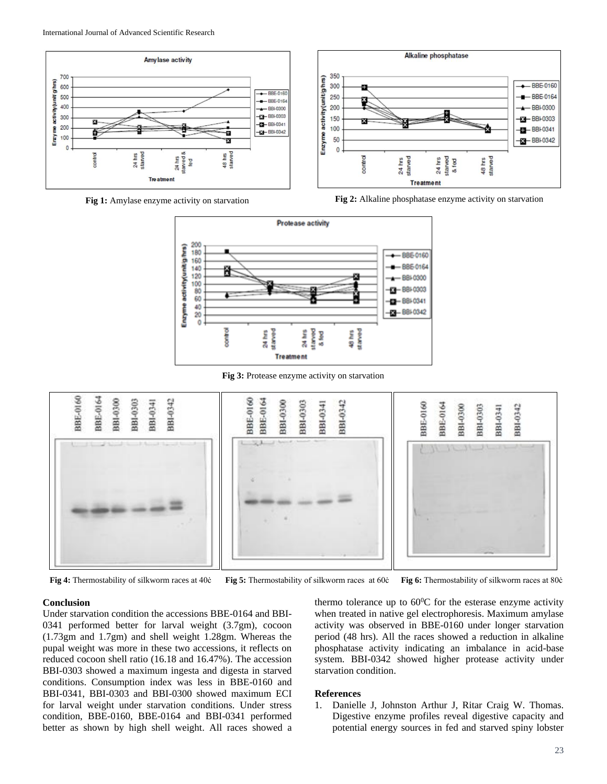



**Fig 1:** Amylase enzyme activity on starvation **Fig 2:** Alkaline phosphatase enzyme activity on starvation



**Fig 3:** Protease enzyme activity on starvation



**Fig 4:** Thermostability of silkworm races at 40ċ **Fig 5:** Thermostability of silkworm races at 60ċ **Fig 6:** Thermostability of silkworm races at 80ċ

#### **Conclusion**

Under starvation condition the accessions BBE-0164 and BBI-0341 performed better for larval weight (3.7gm), cocoon (1.73gm and 1.7gm) and shell weight 1.28gm. Whereas the pupal weight was more in these two accessions, it reflects on reduced cocoon shell ratio (16.18 and 16.47%). The accession BBI-0303 showed a maximum ingesta and digesta in starved conditions. Consumption index was less in BBE-0160 and BBI-0341, BBI-0303 and BBI-0300 showed maximum ECI for larval weight under starvation conditions. Under stress condition, BBE-0160, BBE-0164 and BBI-0341 performed better as shown by high shell weight. All races showed a thermo tolerance up to  $60^{\circ}$ C for the esterase enzyme activity when treated in native gel electrophoresis. Maximum amylase activity was observed in BBE-0160 under longer starvation period (48 hrs). All the races showed a reduction in alkaline phosphatase activity indicating an imbalance in acid-base system. BBI-0342 showed higher protease activity under starvation condition.

#### **References**

1. Danielle J, Johnston Arthur J, Ritar Craig W. Thomas. Digestive enzyme profiles reveal digestive capacity and potential energy sources in fed and starved spiny lobster